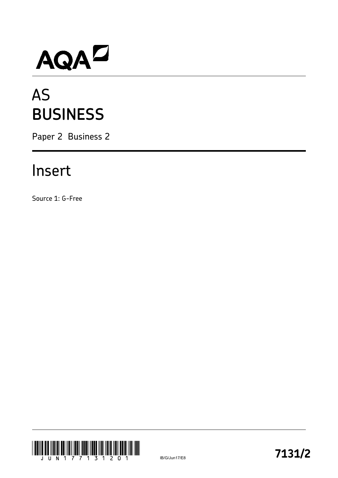# AQAD

## AS **BUSINESS**

Paper 2 Business 2

### Insert

Source 1: G-Free

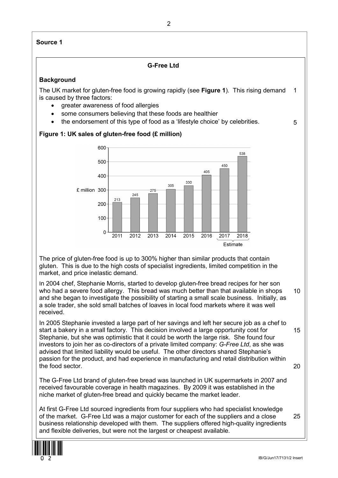#### **Source 1**

#### **G-Free Ltd**

#### **Background**

The UK market for gluten-free food is growing rapidly (see **Figure 1**). This rising demand is caused by three factors: 1

- greater awareness of food allergies
- some consumers believing that these foods are healthier
- the endorsement of this type of food as a 'lifestyle choice' by celebrities.

#### **Figure 1: UK sales of gluten-free food (£ million)**



The price of gluten-free food is up to 300% higher than similar products that contain gluten. This is due to the high costs of specialist ingredients, limited competition in the market, and price inelastic demand.

In 2004 chef, Stephanie Morris, started to develop gluten-free bread recipes for her son who had a severe food allergy. This bread was much better than that available in shops and she began to investigate the possibility of starting a small scale business. Initially, as a sole trader, she sold small batches of loaves in local food markets where it was well received. 10

In 2005 Stephanie invested a large part of her savings and left her secure job as a chef to start a bakery in a small factory. This decision involved a large opportunity cost for Stephanie, but she was optimistic that it could be worth the large risk. She found four investors to join her as co-directors of a private limited company: *G-Free Ltd*, as she was advised that limited liability would be useful. The other directors shared Stephanie's passion for the product, and had experience in manufacturing and retail distribution within the food sector. 15 20

The G-Free Ltd brand of gluten-free bread was launched in UK supermarkets in 2007 and received favourable coverage in health magazines. By 2009 it was established in the niche market of gluten-free bread and quickly became the market leader.

At first G-Free Ltd sourced ingredients from four suppliers who had specialist knowledge of the market. G-Free Ltd was a major customer for each of the suppliers and a close business relationship developed with them. The suppliers offered high-quality ingredients and flexible deliveries, but were not the largest or cheapest available. 25



5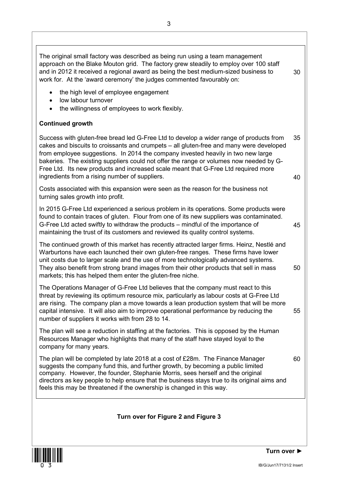The original small factory was described as being run using a team management approach on the Blake Mouton grid. The factory grew steadily to employ over 100 staff and in 2012 it received a regional award as being the best medium-sized business to work for. At the 'award ceremony' the judges commented favourably on:

- the high level of employee engagement
- low labour turnover
- the willingness of employees to work flexibly.

#### **Continued growth**

Success with gluten-free bread led G-Free Ltd to develop a wider range of products from cakes and biscuits to croissants and crumpets – all gluten-free and many were developed from employee suggestions. In 2014 the company invested heavily in two new large bakeries. The existing suppliers could not offer the range or volumes now needed by G-Free Ltd. Its new products and increased scale meant that G-Free Ltd required more ingredients from a rising number of suppliers. 35 40

Costs associated with this expansion were seen as the reason for the business not turning sales growth into profit.

In 2015 G-Free Ltd experienced a serious problem in its operations. Some products were found to contain traces of gluten. Flour from one of its new suppliers was contaminated. G-Free Ltd acted swiftly to withdraw the products – mindful of the importance of maintaining the trust of its customers and reviewed its quality control systems.

The continued growth of this market has recently attracted larger firms. Heinz, Nestlé and Warburtons have each launched their own gluten-free ranges. These firms have lower unit costs due to larger scale and the use of more technologically advanced systems. They also benefit from strong brand images from their other products that sell in mass markets; this has helped them enter the gluten-free niche.

The Operations Manager of G-Free Ltd believes that the company must react to this threat by reviewing its optimum resource mix, particularly as labour costs at G-Free Ltd are rising. The company plan a move towards a lean production system that will be more capital intensive. It will also aim to improve operational performance by reducing the number of suppliers it works with from 28 to 14. 55

The plan will see a reduction in staffing at the factories. This is opposed by the Human Resources Manager who highlights that many of the staff have stayed loyal to the company for many years.

The plan will be completed by late 2018 at a cost of £28m. The Finance Manager suggests the company fund this, and further growth, by becoming a public limited company. However, the founder, Stephanie Morris, sees herself and the original directors as key people to help ensure that the business stays true to its original aims and feels this may be threatened if the ownership is changed in this way. 60

**Turn over for Figure 2 and Figure 3**



30

45

50